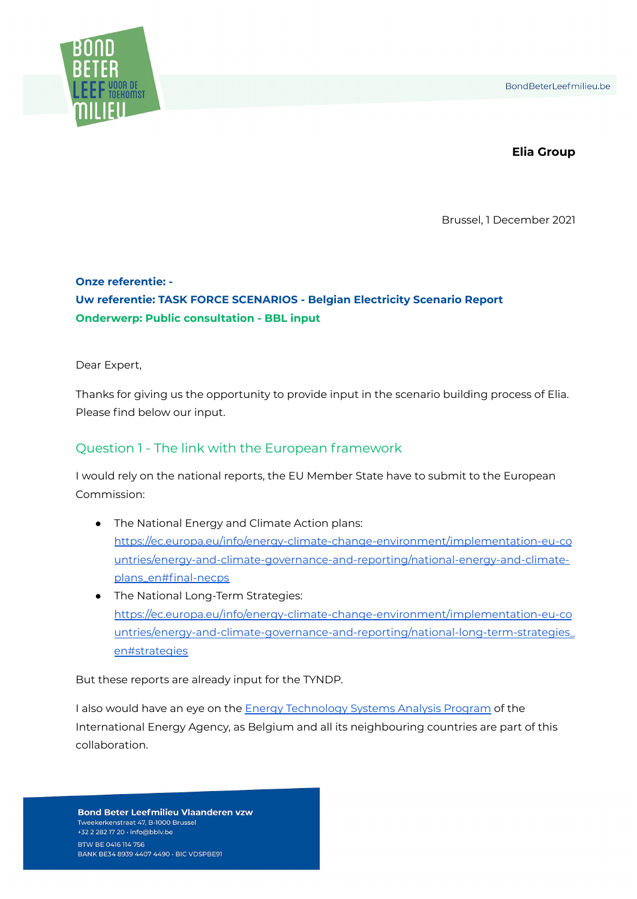

#### **Elia Group**

Brussel, 1 December 2021

# **Onze referentie: - Uw referentie: TASK FORCE SCENARIOS - Belgian Electricity Scenario Report Onderwerp: Public consultation - BBL input**

Dear Expert,

Thanks for giving us the opportunity to provide input in the scenario building process of Elia. Please find below our input.

#### Question 1 - The link with the European framework

I would rely on the national reports, the EU Member State have to submit to the European Commission:

- The National Energy and Climate Action plans: [https://ec.europa.eu/info/energy-climate-change-environment/implementation-eu-co](https://ec.europa.eu/info/energy-climate-change-environment/implementation-eu-countries/energy-and-climate-governance-and-reporting/national-energy-and-climate-plans_en#final-necps) [untries/energy-and-climate-governance-and-reporting/national-energy-and-climate](https://ec.europa.eu/info/energy-climate-change-environment/implementation-eu-countries/energy-and-climate-governance-and-reporting/national-energy-and-climate-plans_en#final-necps)[plans\\_en#final-necps](https://ec.europa.eu/info/energy-climate-change-environment/implementation-eu-countries/energy-and-climate-governance-and-reporting/national-energy-and-climate-plans_en#final-necps)
- The National Long-Term Strategies: [https://ec.europa.eu/info/energy-climate-change-environment/implementation-eu-co](https://ec.europa.eu/info/energy-climate-change-environment/implementation-eu-countries/energy-and-climate-governance-and-reporting/national-long-term-strategies_en#strategies) [untries/energy-and-climate-governance-and-reporting/national-long-term-strategies\\_](https://ec.europa.eu/info/energy-climate-change-environment/implementation-eu-countries/energy-and-climate-governance-and-reporting/national-long-term-strategies_en#strategies) [en#strategies](https://ec.europa.eu/info/energy-climate-change-environment/implementation-eu-countries/energy-and-climate-governance-and-reporting/national-long-term-strategies_en#strategies)

But these reports are already input for the TYNDP.

I also would have an eye on the **Energy [Technology](https://iea-etsap.org/) Systems Analysis Program** of the International Energy Agency, as Belgium and all its neighbouring countries are part of this collaboration.

**Bond Beter Leefmilieu Vlaanderen vzw** Tweekerkenstraat 47, B-1000 Brussel +32 2 282 17 20 · info@bblv.be BTW BE 0416 114 756 BANK BE34 8939 4407 4490 · BIC VDSPBE91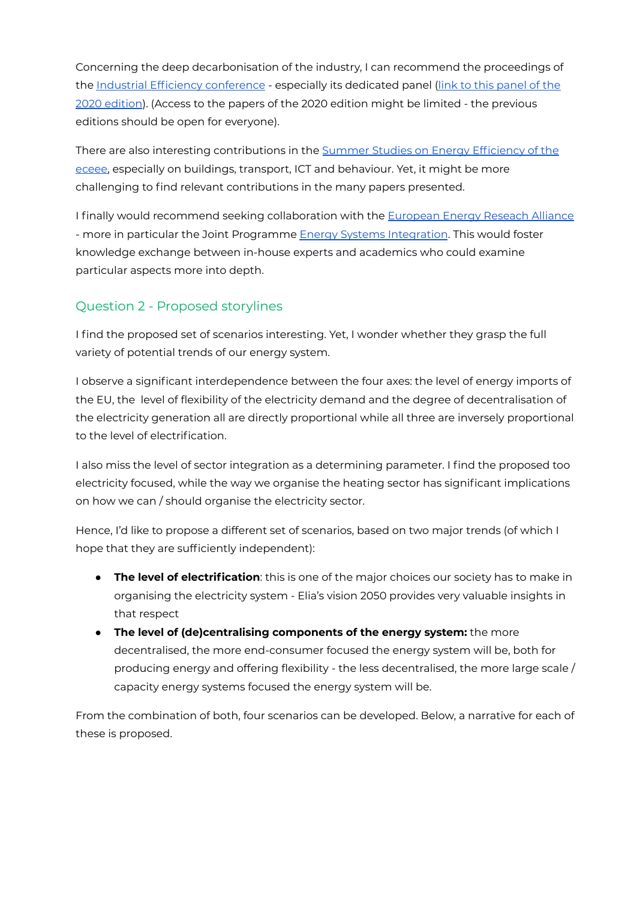Concerning the deep decarbonisation of the industry, I can recommend the proceedings of the Industrial Efficiency [conference](https://www.eceee.org/library/conference_proceedings/eceee_Industrial_Summer_Study/) - especially its dedicated panel (link to this [panel](https://www.eceee.org/library/conference_proceedings/eceee_Industrial_Summer_Study/2020/6-deep-decarbonisation-of-industry/) of the 2020 [edition](https://www.eceee.org/library/conference_proceedings/eceee_Industrial_Summer_Study/2020/6-deep-decarbonisation-of-industry/)). (Access to the papers of the 2020 edition might be limited - the previous editions should be open for everyone).

There are also interesting contributions in the Summer Studies on Energy [Efficiency](https://www.eceee.org/library/conference_proceedings/eceee_Summer_Studies/) of the [eceee,](https://www.eceee.org/library/conference_proceedings/eceee_Summer_Studies/) especially on buildings, transport, ICT and behaviour. Yet, it might be more challenging to find relevant contributions in the many papers presented.

I finally would recommend seeking collaboration with the [European](https://www.eera-set.eu/) Energy Reseach Alliance - more in particular the Joint Programme Energy Systems [Integration](https://www.eera-set.eu/component/projects/projects.html?id=45). This would foster knowledge exchange between in-house experts and academics who could examine particular aspects more into depth.

# Question 2 - Proposed storylines

I find the proposed set of scenarios interesting. Yet, I wonder whether they grasp the full variety of potential trends of our energy system.

I observe a significant interdependence between the four axes: the level of energy imports of the EU, the level of flexibility of the electricity demand and the degree of decentralisation of the electricity generation all are directly proportional while all three are inversely proportional to the level of electrification.

I also miss the level of sector integration as a determining parameter. I find the proposed too electricity focused, while the way we organise the heating sector has significant implications on how we can / should organise the electricity sector.

Hence, I'd like to propose a different set of scenarios, based on two major trends (of which I hope that they are sufficiently independent):

- **The level of electrification**: this is one of the major choices our society has to make in organising the electricity system - Elia's vision 2050 provides very valuable insights in that respect
- **The level of (de)centralising components of the energy system:** the more decentralised, the more end-consumer focused the energy system will be, both for producing energy and offering flexibility - the less decentralised, the more large scale / capacity energy systems focused the energy system will be.

From the combination of both, four scenarios can be developed. Below, a narrative for each of these is proposed.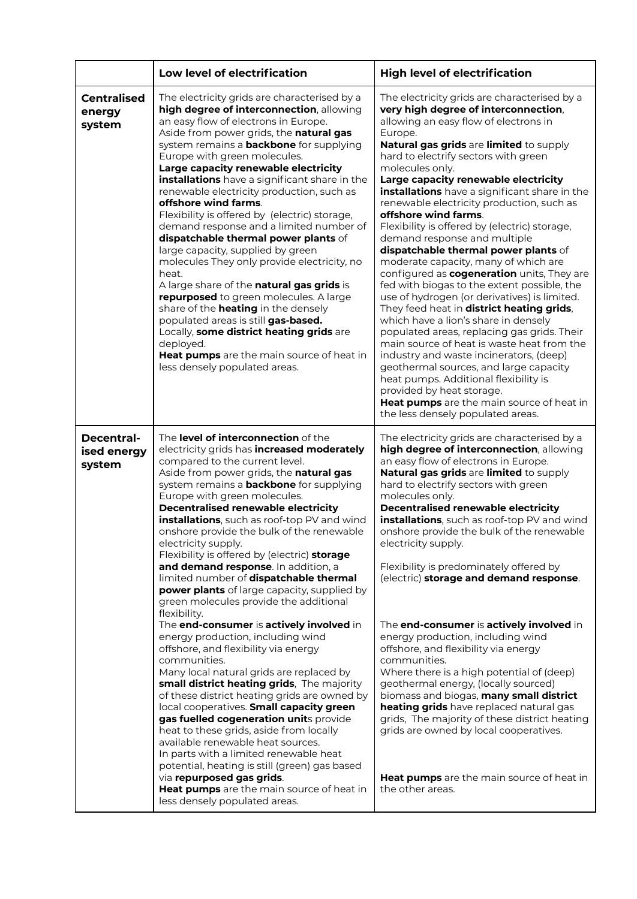|                                        | Low level of electrification                                                                                                                                                                                                                                                                                                                                                                                                                                                                                                                                                                                                                                                                                                                                                                                                                                                                                                                                                                                                                                                                                                                                                                             | <b>High level of electrification</b>                                                                                                                                                                                                                                                                                                                                                                                                                                                                                                                                                                                                                                                                                                                                                                                                                                                                                                                                                                                                                                                                                                                      |
|----------------------------------------|----------------------------------------------------------------------------------------------------------------------------------------------------------------------------------------------------------------------------------------------------------------------------------------------------------------------------------------------------------------------------------------------------------------------------------------------------------------------------------------------------------------------------------------------------------------------------------------------------------------------------------------------------------------------------------------------------------------------------------------------------------------------------------------------------------------------------------------------------------------------------------------------------------------------------------------------------------------------------------------------------------------------------------------------------------------------------------------------------------------------------------------------------------------------------------------------------------|-----------------------------------------------------------------------------------------------------------------------------------------------------------------------------------------------------------------------------------------------------------------------------------------------------------------------------------------------------------------------------------------------------------------------------------------------------------------------------------------------------------------------------------------------------------------------------------------------------------------------------------------------------------------------------------------------------------------------------------------------------------------------------------------------------------------------------------------------------------------------------------------------------------------------------------------------------------------------------------------------------------------------------------------------------------------------------------------------------------------------------------------------------------|
| <b>Centralised</b><br>energy<br>system | The electricity grids are characterised by a<br>high degree of interconnection, allowing<br>an easy flow of electrons in Europe.<br>Aside from power grids, the natural gas<br>system remains a <b>backbone</b> for supplying<br>Europe with green molecules.<br>Large capacity renewable electricity<br>installations have a significant share in the<br>renewable electricity production, such as<br>offshore wind farms.<br>Flexibility is offered by (electric) storage,<br>demand response and a limited number of<br>dispatchable thermal power plants of<br>large capacity, supplied by green<br>molecules They only provide electricity, no<br>heat.<br>A large share of the natural gas grids is<br>repurposed to green molecules. A large<br>share of the <b>heating</b> in the densely<br>populated areas is still gas-based.<br>Locally, some district heating grids are<br>deployed.<br>Heat pumps are the main source of heat in<br>less densely populated areas.                                                                                                                                                                                                                          | The electricity grids are characterised by a<br>very high degree of interconnection,<br>allowing an easy flow of electrons in<br>Europe.<br>Natural gas grids are limited to supply<br>hard to electrify sectors with green<br>molecules only.<br>Large capacity renewable electricity<br>installations have a significant share in the<br>renewable electricity production, such as<br>offshore wind farms.<br>Flexibility is offered by (electric) storage,<br>demand response and multiple<br>dispatchable thermal power plants of<br>moderate capacity, many of which are<br>configured as cogeneration units, They are<br>fed with biogas to the extent possible, the<br>use of hydrogen (or derivatives) is limited.<br>They feed heat in district heating grids,<br>which have a lion's share in densely<br>populated areas, replacing gas grids. Their<br>main source of heat is waste heat from the<br>industry and waste incinerators, (deep)<br>geothermal sources, and large capacity<br>heat pumps. Additional flexibility is<br>provided by heat storage.<br>Heat pumps are the main source of heat in<br>the less densely populated areas. |
| Decentral-<br>ised energy<br>system    | The level of interconnection of the<br>electricity grids has increased moderately<br>compared to the current level.<br>Aside from power grids, the natural gas<br>system remains a <b>backbone</b> for supplying<br>Europe with green molecules.<br>Decentralised renewable electricity<br>installations, such as roof-top PV and wind<br>onshore provide the bulk of the renewable<br>electricity supply.<br>Flexibility is offered by (electric) storage<br>and demand response. In addition, a<br>limited number of dispatchable thermal<br>power plants of large capacity, supplied by<br>green molecules provide the additional<br>flexibility.<br>The end-consumer is actively involved in<br>energy production, including wind<br>offshore, and flexibility via energy<br>communities.<br>Many local natural grids are replaced by<br>small district heating grids, The majority<br>of these district heating grids are owned by<br>local cooperatives. Small capacity green<br>gas fuelled cogeneration units provide<br>heat to these grids, aside from locally<br>available renewable heat sources.<br>In parts with a limited renewable heat<br>potential, heating is still (green) gas based | The electricity grids are characterised by a<br>high degree of interconnection, allowing<br>an easy flow of electrons in Europe.<br>Natural gas grids are limited to supply<br>hard to electrify sectors with green<br>molecules only.<br>Decentralised renewable electricity<br>installations, such as roof-top PV and wind<br>onshore provide the bulk of the renewable<br>electricity supply.<br>Flexibility is predominately offered by<br>(electric) storage and demand response.<br>The end-consumer is actively involved in<br>energy production, including wind<br>offshore, and flexibility via energy<br>communities.<br>Where there is a high potential of (deep)<br>geothermal energy, (locally sourced)<br>biomass and biogas, many small district<br>heating grids have replaced natural gas<br>grids, The majority of these district heating<br>grids are owned by local cooperatives.                                                                                                                                                                                                                                                     |
|                                        | via repurposed gas grids.<br>Heat pumps are the main source of heat in<br>less densely populated areas.                                                                                                                                                                                                                                                                                                                                                                                                                                                                                                                                                                                                                                                                                                                                                                                                                                                                                                                                                                                                                                                                                                  | Heat pumps are the main source of heat in<br>the other areas.                                                                                                                                                                                                                                                                                                                                                                                                                                                                                                                                                                                                                                                                                                                                                                                                                                                                                                                                                                                                                                                                                             |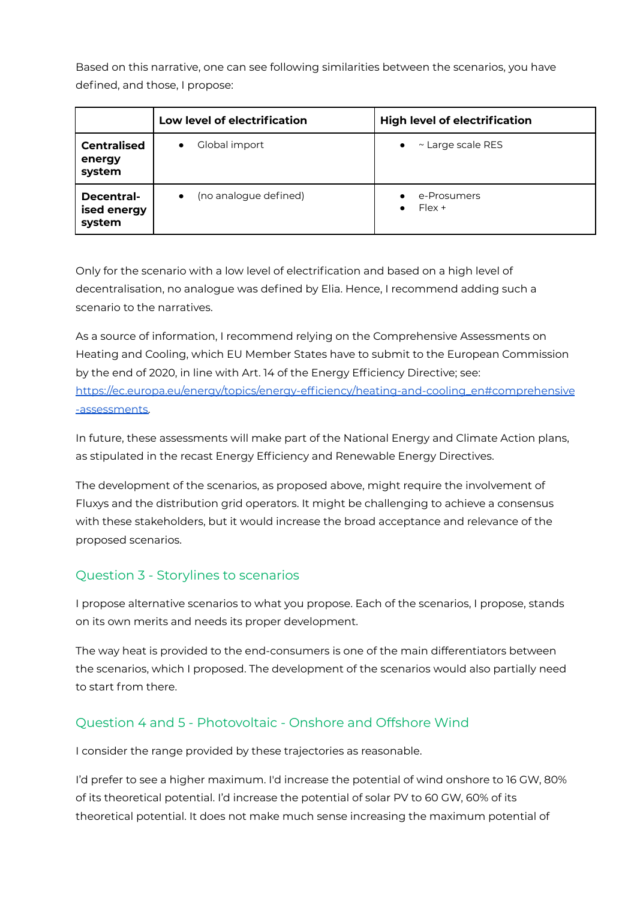Based on this narrative, one can see following similarities between the scenarios, you have defined, and those, I propose:

|                                        | Low level of electrification       | <b>High level of electrification</b> |
|----------------------------------------|------------------------------------|--------------------------------------|
| <b>Centralised</b><br>energy<br>system | Global import<br>$\bullet$         | ~ Large scale RES<br>$\bullet$       |
| Decentral-<br>ised energy<br>system    | (no analogue defined)<br>$\bullet$ | e-Prosumers<br>$Flex +$<br>$\bullet$ |

Only for the scenario with a low level of electrification and based on a high level of decentralisation, no analogue was defined by Elia. Hence, I recommend adding such a scenario to the narratives.

As a source of information, I recommend relying on the Comprehensive Assessments on Heating and Cooling, which EU Member States have to submit to the European Commission by the end of 2020, in line with Art. 14 of the Energy Efficiency Directive; see: [https://ec.europa.eu/energy/topics/energy-efficiency/heating-and-cooling\\_en#comprehensive](https://ec.europa.eu/energy/topics/energy-efficiency/heating-and-cooling_en#comprehensive-assessments) [-assessments.](https://ec.europa.eu/energy/topics/energy-efficiency/heating-and-cooling_en#comprehensive-assessments)

In future, these assessments will make part of the National Energy and Climate Action plans, as stipulated in the recast Energy Efficiency and Renewable Energy Directives.

The development of the scenarios, as proposed above, might require the involvement of Fluxys and the distribution grid operators. It might be challenging to achieve a consensus with these stakeholders, but it would increase the broad acceptance and relevance of the proposed scenarios.

### Question 3 - Storylines to scenarios

I propose alternative scenarios to what you propose. Each of the scenarios, I propose, stands on its own merits and needs its proper development.

The way heat is provided to the end-consumers is one of the main differentiators between the scenarios, which I proposed. The development of the scenarios would also partially need to start from there.

### Question 4 and 5 - Photovoltaic - Onshore and Offshore Wind

I consider the range provided by these trajectories as reasonable.

I'd prefer to see a higher maximum. I'd increase the potential of wind onshore to 16 GW, 80% of its theoretical potential. I'd increase the potential of solar PV to 60 GW, 60% of its theoretical potential. It does not make much sense increasing the maximum potential of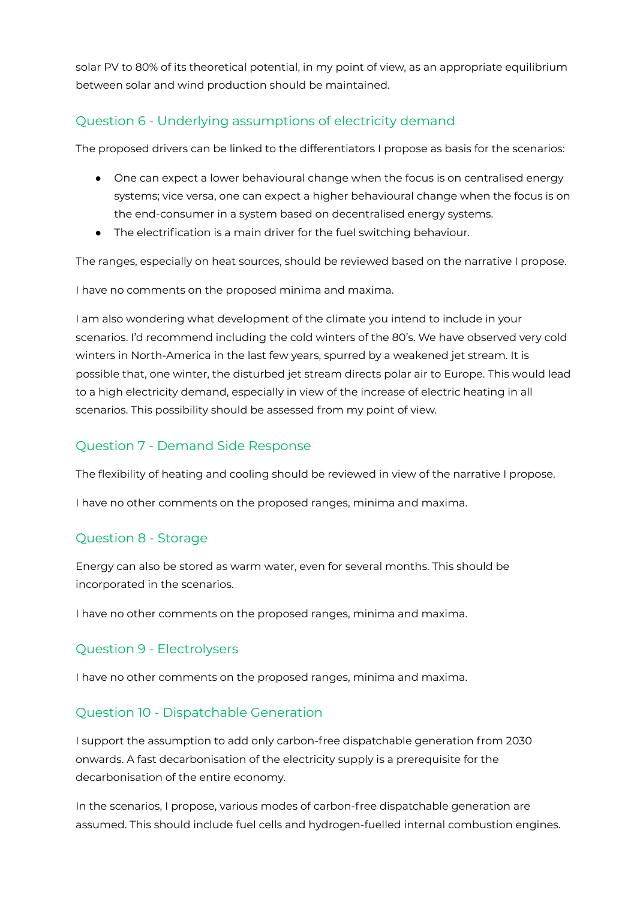solar PV to 80% of its theoretical potential, in my point of view, as an appropriate equilibrium between solar and wind production should be maintained.

# Question 6 - Underlying assumptions of electricity demand

The proposed drivers can be linked to the differentiators I propose as basis for the scenarios:

- One can expect a lower behavioural change when the focus is on centralised energy systems; vice versa, one can expect a higher behavioural change when the focus is on the end-consumer in a system based on decentralised energy systems.
- The electrification is a main driver for the fuel switching behaviour.

The ranges, especially on heat sources, should be reviewed based on the narrative I propose.

I have no comments on the proposed minima and maxima.

I am also wondering what development of the climate you intend to include in your scenarios. I'd recommend including the cold winters of the 80's. We have observed very cold winters in North-America in the last few years, spurred by a weakened jet stream. It is possible that, one winter, the disturbed jet stream directs polar air to Europe. This would lead to a high electricity demand, especially in view of the increase of electric heating in all scenarios. This possibility should be assessed from my point of view.

### Question 7 - Demand Side Response

The flexibility of heating and cooling should be reviewed in view of the narrative I propose.

I have no other comments on the proposed ranges, minima and maxima.

### Question 8 - Storage

Energy can also be stored as warm water, even for several months. This should be incorporated in the scenarios.

I have no other comments on the proposed ranges, minima and maxima.

### Question 9 - Electrolysers

I have no other comments on the proposed ranges, minima and maxima.

### Question 10 - Dispatchable Generation

I support the assumption to add only carbon-free dispatchable generation from 2030 onwards. A fast decarbonisation of the electricity supply is a prerequisite for the decarbonisation of the entire economy.

In the scenarios, I propose, various modes of carbon-free dispatchable generation are assumed. This should include fuel cells and hydrogen-fuelled internal combustion engines.